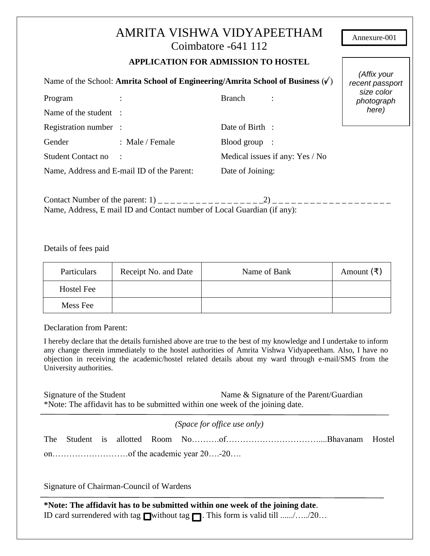|                                                                                |                                            | AMRITA VISHWA VIDYAPEETHAM<br>Coimbatore -641 112<br><b>APPLICATION FOR ADMISSION TO HOSTEL</b> | Annexure-001             |
|--------------------------------------------------------------------------------|--------------------------------------------|-------------------------------------------------------------------------------------------------|--------------------------|
| Name of the School: Amrita School of Engineering/Amrita School of Business (v) | (Affix your<br>recent passport             |                                                                                                 |                          |
| Program                                                                        |                                            | <b>Branch</b>                                                                                   | size color<br>photograph |
| Name of the student :                                                          |                                            |                                                                                                 | here)                    |
| Registration number :                                                          |                                            | Date of Birth :                                                                                 |                          |
| Gender                                                                         | : Male / Female                            | $\text{ Blood group}$ :                                                                         |                          |
| <b>Student Contact no</b>                                                      |                                            | Medical issues if any: Yes / No                                                                 |                          |
|                                                                                | Name, Address and E-mail ID of the Parent: | Date of Joining:                                                                                |                          |

Contact Number of the parent: 1) \_ \_ \_ \_ \_ \_ \_ \_ \_ \_ \_ \_ \_ \_ \_ \_ \_2) \_ \_ \_ \_ \_ \_ \_ \_ \_ \_ \_ \_ \_ \_ \_ \_ \_ \_ \_ Name, Address, E mail ID and Contact number of Local Guardian (if any):

Details of fees paid

| Particulars       | Receipt No. and Date | Name of Bank | Amount $(\bar{\tau})$ |
|-------------------|----------------------|--------------|-----------------------|
| <b>Hostel Fee</b> |                      |              |                       |
| Mess Fee          |                      |              |                       |

Declaration from Parent:

I hereby declare that the details furnished above are true to the best of my knowledge and I undertake to inform any change therein immediately to the hostel authorities of Amrita Vishwa Vidyapeetham. Also, I have no objection in receiving the academic/hostel related details about my ward through e-mail/SMS from the University authorities.

Signature of the Student Name & Signature of the Parent/Guardian \*Note: The affidavit has to be submitted within one week of the joining date.

*(Space for office use only)*

Signature of Chairman-Council of Wardens

**\*Note: The affidavit has to be submitted within one week of the joining date**. ID card surrendered with tag /without tag . This form is valid till ....../…../20…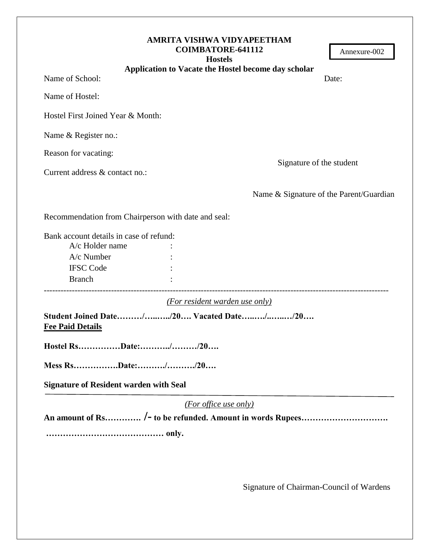| AMRITA VISHWA VIDYAPEETHAM<br><b>COIMBATORE-641112</b><br>Annexure-002<br><b>Hostels</b> |
|------------------------------------------------------------------------------------------|
| Application to Vacate the Hostel become day scholar                                      |
| Name of School:<br>Date:                                                                 |
| Name of Hostel:                                                                          |
| Hostel First Joined Year & Month:                                                        |
| Name & Register no.:                                                                     |
| Reason for vacating:                                                                     |
| Signature of the student<br>Current address & contact no.:                               |
| Name & Signature of the Parent/Guardian                                                  |
| Recommendation from Chairperson with date and seal:                                      |
| Bank account details in case of refund:                                                  |
| A/c Holder name                                                                          |
| A/c Number                                                                               |
| <b>IFSC Code</b>                                                                         |
| <b>Branch</b>                                                                            |
| (For resident warden use only)                                                           |
| Student Joined Date//20 Vacated Date//20<br><b>Fee Paid Details</b>                      |
| Hostel RsDate://20                                                                       |
| Mess RsDate://20                                                                         |
| <b>Signature of Resident warden with Seal</b>                                            |
| (For office use only)                                                                    |
|                                                                                          |
|                                                                                          |
|                                                                                          |
|                                                                                          |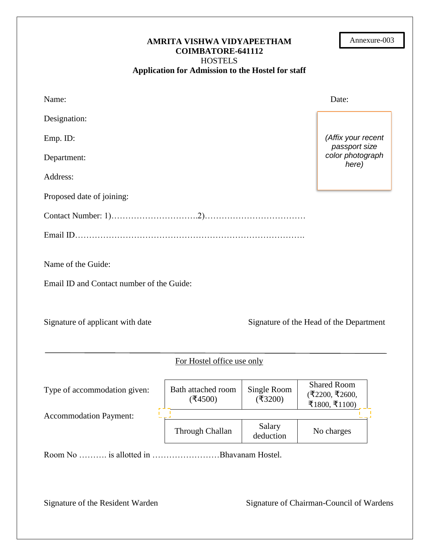| AMRITA VISHWA VIDYAPEETHAM<br><b>COIMBATORE-641112</b><br><b>HOSTELS</b> |                                                   |                       | Annexure-003                                             |                                         |
|--------------------------------------------------------------------------|---------------------------------------------------|-----------------------|----------------------------------------------------------|-----------------------------------------|
|                                                                          | Application for Admission to the Hostel for staff |                       |                                                          |                                         |
| Name:                                                                    |                                                   |                       |                                                          | Date:                                   |
| Designation:                                                             |                                                   |                       |                                                          |                                         |
| Emp. ID:                                                                 |                                                   |                       |                                                          | (Affix your recent<br>passport size     |
| Department:                                                              |                                                   |                       |                                                          | color photograph<br>here)               |
| Address:                                                                 |                                                   |                       |                                                          |                                         |
| Proposed date of joining:                                                |                                                   |                       |                                                          |                                         |
|                                                                          |                                                   |                       |                                                          |                                         |
|                                                                          |                                                   |                       |                                                          |                                         |
| Name of the Guide:                                                       |                                                   |                       |                                                          |                                         |
| Email ID and Contact number of the Guide:                                |                                                   |                       |                                                          |                                         |
| Signature of applicant with date                                         |                                                   |                       |                                                          | Signature of the Head of the Department |
|                                                                          | For Hostel office use only                        |                       |                                                          |                                         |
| Type of accommodation given:                                             | Bath attached room<br>(4500)                      | Single Room<br>(3200) | <b>Shared Room</b><br>$($ ₹2200, ₹2600,<br>₹1800, ₹1100) |                                         |
| <b>Accommodation Payment:</b>                                            | Through Challan                                   | Salary<br>deduction   | No charges                                               |                                         |
| Room No  is allotted in Bhavanam Hostel.                                 |                                                   |                       |                                                          |                                         |

Signature of the Resident Warden Signature of Chairman-Council of Wardens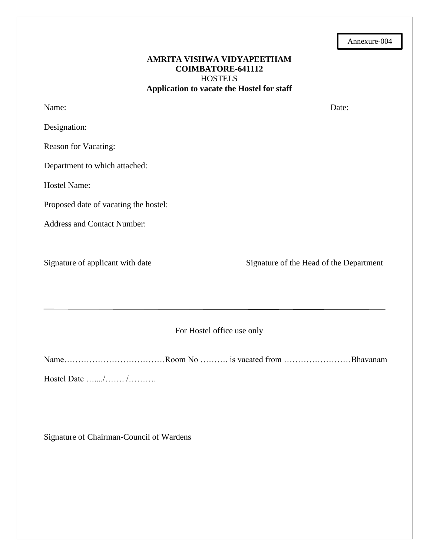### **AMRITA VISHWA VIDYAPEETHAM COIMBATORE-641112 HOSTELS Application to vacate the Hostel for staff**

| Name:                                 | Date:                                   |  |  |  |
|---------------------------------------|-----------------------------------------|--|--|--|
| Designation:                          |                                         |  |  |  |
| Reason for Vacating:                  |                                         |  |  |  |
| Department to which attached:         |                                         |  |  |  |
| Hostel Name:                          |                                         |  |  |  |
| Proposed date of vacating the hostel: |                                         |  |  |  |
| <b>Address and Contact Number:</b>    |                                         |  |  |  |
|                                       |                                         |  |  |  |
| Signature of applicant with date      | Signature of the Head of the Department |  |  |  |
|                                       |                                         |  |  |  |
|                                       |                                         |  |  |  |
| For Hostel office use only            |                                         |  |  |  |
|                                       |                                         |  |  |  |

Name………………………………Room No ………. is vacated from ……………………Bhavanam Hostel Date …..../……. /……….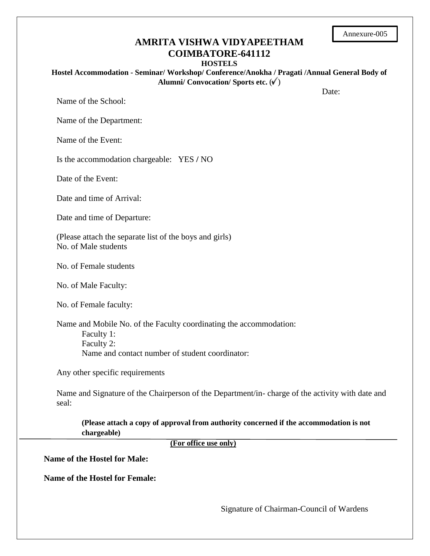| Annexure-005 |
|--------------|
|--------------|

## **AMRITA VISHWA VIDYAPEETHAM COIMBATORE-641112**

#### **HOSTELS**

**Hostel Accommodation - Seminar/ Workshop/ Conference/Anokha / Pragati /Annual General Body of Alumni/** Convocation/ Sports etc.  $(\check{\mathbf{V}})$ 

Date:

Name of the School:

Name of the Department:

Name of the Event:

Is the accommodation chargeable: YES **/** NO

Date of the Event:

Date and time of Arrival:

Date and time of Departure:

(Please attach the separate list of the boys and girls) No. of Male students

No. of Female students

No. of Male Faculty:

No. of Female faculty:

Name and Mobile No. of the Faculty coordinating the accommodation: Faculty 1: Faculty 2: Name and contact number of student coordinator:

Any other specific requirements

Name and Signature of the Chairperson of the Department/in- charge of the activity with date and seal:

**(Please attach a copy of approval from authority concerned if the accommodation is not chargeable)**

 **(For office use only)**

**Name of the Hostel for Male:**

**Name of the Hostel for Female:**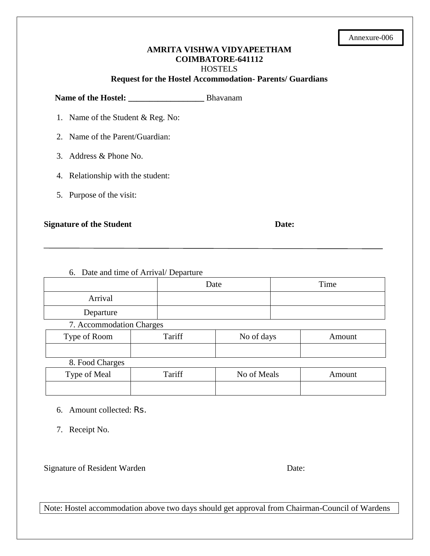| Annexure-006 |
|--------------|
|--------------|

### **AMRITA VISHWA VIDYAPEETHAM COIMBATORE-641112 HOSTELS**

**Request for the Hostel Accommodation- Parents/ Guardians**

**Name of the Hostel: \_\_\_\_\_\_\_\_\_\_\_\_\_\_\_\_\_\_** Bhavanam

- 1. Name of the Student & Reg. No:
- 2. Name of the Parent/Guardian:
- 3. Address & Phone No.
- 4. Relationship with the student:
- 5. Purpose of the visit:

#### **Signature of the Student Date:** Date:

## 6. Date and time of Arrival/ Departure Date Time Arrival Departure 7. Accommodation Charges Type of Room Tariff No of days Now Amount 8. Food Charges Type of Meal  $\begin{array}{|c|c|c|c|c|c|} \hline \end{array}$  Tariff  $\begin{array}{|c|c|c|c|c|c|c|c|} \hline \end{array}$  No of Meals  $\begin{array}{|c|c|c|c|c|c|c|c|} \hline \end{array}$  Amount

- 6. Amount collected: Rs.
- 7. Receipt No.

Signature of Resident Warden Date:

Note: Hostel accommodation above two days should get approval from Chairman-Council of Wardens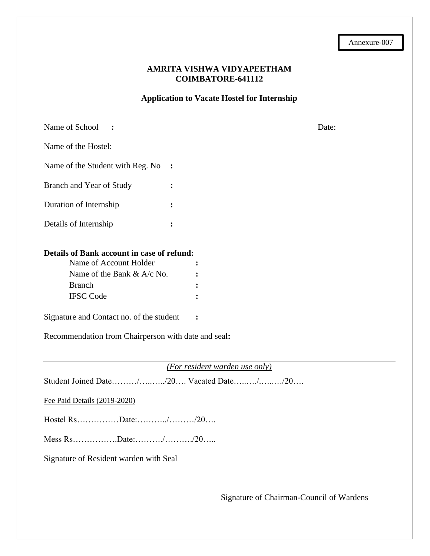#### **AMRITA VISHWA VIDYAPEETHAM COIMBATORE-641112**

**Application to Vacate Hostel for Internship**

| Name of School                                                                                                                                                                                                                             |                                                                            | Date: |
|--------------------------------------------------------------------------------------------------------------------------------------------------------------------------------------------------------------------------------------------|----------------------------------------------------------------------------|-------|
| Name of the Hostel:                                                                                                                                                                                                                        |                                                                            |       |
| Name of the Student with Reg. No                                                                                                                                                                                                           |                                                                            |       |
| Branch and Year of Study                                                                                                                                                                                                                   |                                                                            |       |
| Duration of Internship                                                                                                                                                                                                                     |                                                                            |       |
| Details of Internship                                                                                                                                                                                                                      |                                                                            |       |
| Details of Bank account in case of refund:<br>Name of Account Holder<br>Name of the Bank & A/c No.<br><b>Branch</b><br><b>IFSC Code</b><br>Signature and Contact no. of the student<br>Recommendation from Chairperson with date and seal: | $\ddot{\cdot}$                                                             |       |
|                                                                                                                                                                                                                                            |                                                                            |       |
|                                                                                                                                                                                                                                            | (For resident warden use only)<br>Student Joined Date//20 Vacated Date//20 |       |
| Fee Paid Details (2019-2020)                                                                                                                                                                                                               |                                                                            |       |
|                                                                                                                                                                                                                                            |                                                                            |       |
|                                                                                                                                                                                                                                            |                                                                            |       |

Signature of Resident warden with Seal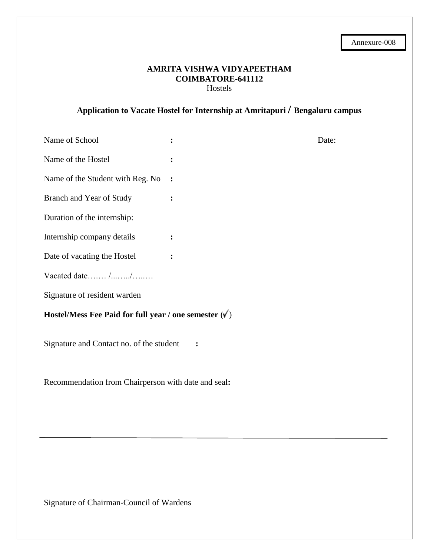#### **AMRITA VISHWA VIDYAPEETHAM COIMBATORE-641112** Hostels

# **Application to Vacate Hostel for Internship at Amritapuri / Bengaluru campus**

| Name of School                                                |                | Date: |  |  |  |
|---------------------------------------------------------------|----------------|-------|--|--|--|
| Name of the Hostel                                            | ፡              |       |  |  |  |
| Name of the Student with Reg. No                              | $\ddot{\cdot}$ |       |  |  |  |
| Branch and Year of Study                                      | ፡              |       |  |  |  |
| Duration of the internship:                                   |                |       |  |  |  |
| Internship company details                                    | $\ddot{\cdot}$ |       |  |  |  |
| Date of vacating the Hostel                                   | $\ddot{\cdot}$ |       |  |  |  |
| Vacated date//                                                |                |       |  |  |  |
| Signature of resident warden                                  |                |       |  |  |  |
| Hostel/Mess Fee Paid for full year / one semester $(\sqrt{})$ |                |       |  |  |  |
| Signature and Contact no. of the student                      |                |       |  |  |  |

Recommendation from Chairperson with date and seal**:**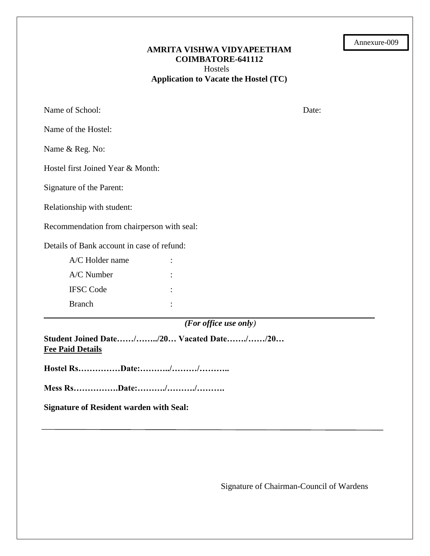| Annexure-009 |  |
|--------------|--|
|--------------|--|

#### **AMRITA VISHWA VIDYAPEETHAM COIMBATORE-641112** Hostels **Application to Vacate the Hostel (TC)**

Name of School: Date: Date: Date: Date: Date: Date: Date: Date: Date: Date: Date: Date: Date: Date: Date: Date: Date: Date: Date: Date: Date: Date: Date: Date: Date: Date: Date: Date: Date: Date: Date: Date: Date: Date: Da

Name of the Hostel:

Name & Reg. No:

Hostel first Joined Year & Month:

Signature of the Parent:

Relationship with student:

Recommendation from chairperson with seal:

Details of Bank account in case of refund:

| A/C Holder name  |  |
|------------------|--|
| $A/C$ Number     |  |
| <b>IFSC</b> Code |  |
| <b>Branch</b>    |  |

*(For office use only)*

**\_\_\_\_\_\_\_\_\_\_\_\_\_\_\_\_\_\_\_\_\_\_\_\_\_\_\_\_\_\_\_\_\_\_\_\_\_\_\_\_\_\_\_\_\_\_\_\_\_\_\_\_\_\_\_\_\_\_\_\_\_\_\_\_\_\_\_\_\_\_\_\_\_\_\_\_\_\_\_\_\_\_\_\_\_\_\_\_\_\_\_\_\_\_\_\_\_\_\_\_\_\_\_\_\_\_\_\_\_\_\_\_\_\_\_\_\_\_\_\_\_\_\_\_\_\_\_\_\_\_\_\_\_\_\_\_\_\_\_\_\_\_\_\_\_\_\_\_\_\_\_\_\_\_\_\_\_**

**Student Joined Date……/……../20… Vacated Date……./……/20… Fee Paid Details** 

**Hostel Rs……………Date:………../………/………..**

**Mess Rs…………….Date:………./………./……….**

**Signature of Resident warden with Seal:**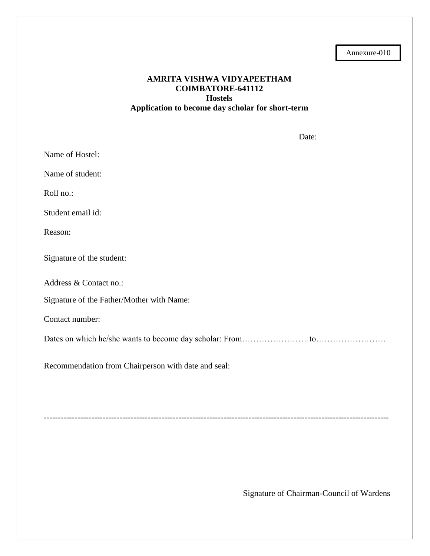Annexure-010

### **AMRITA VISHWA VIDYAPEETHAM COIMBATORE-641112 Hostels Application to become day scholar for short-term**

Date: Name of Hostel: Name of student: Roll no.: Student email id: Reason: Signature of the student: Address & Contact no.: Signature of the Father/Mother with Name: Contact number: Dates on which he/she wants to become day scholar: From……………………to……………………. Recommendation from Chairperson with date and seal:

---------------------------------------------------------------------------------------------------------------------------